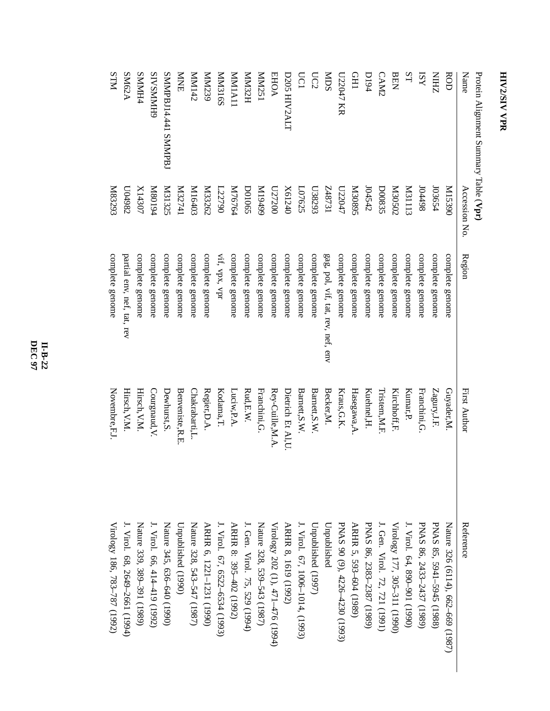| Protein Alignment Summary Table (Vpr) |                      |                                                                    |                     |                                  |
|---------------------------------------|----------------------|--------------------------------------------------------------------|---------------------|----------------------------------|
| Name                                  | Accession No         | Region                                                             | <b>First Author</b> | Reference                        |
| <b>ROD</b>                            | 06851M               | complete genome                                                    | Guyader,M.          | Nature 326 (614), 662–669 (1987) |
| <b>ZHIN</b>                           | 103654               | complete genome                                                    | Zagury,J.F.         | PNAS 85, 5941-5945 (1988)        |
| ISY                                   | 104498               | complete genome                                                    | Franchini, G        | PNAS 86, 2433-2437 (1989)        |
| SL                                    | <b>M31113</b>        | complete genome                                                    | Kumar, P.           | J. Virol. 64, 890-901 (1990)     |
| <b>BEN</b>                            | Z02020               | complete genome                                                    | Kirchhoff,F.        | Virology 177, 305-311 (1990)     |
| CAM2                                  | D00835               | complete genome                                                    | Tristem, M.F        | J. Gen. Virol. 72, 721 (1991)    |
| <b>D194</b>                           | 104542               | complete genome                                                    | Kuehnel, H.         | PNAS 86, 2383-2387 (1989)        |
| GHI                                   | S6808N               | complete genome                                                    | Hasegawa, A         | ARHR 5, 593-604 (1989)           |
| U22047 KR                             | 122047               | complete genome                                                    | Kraus, G.K.         | PNAS 90 (9), 4226-4230 (1993)    |
| <b>NDS</b>                            | IEL8+Z               | gag, pol, vif, tat, rev, nef, env                                  | Becker, M.          | Unpublished                      |
| UC2                                   | C678203              | complete genome                                                    | Barnett, S.W.       | Unpublished (1997)               |
| <b>UC1</b>                            | L07625               | complete genome                                                    | Barnett, S.W.       | I. Virol. 67, 1006–1014, (1993)  |
| D205 HIV2ALT                          | X61240               | complete genome                                                    | Dietrich Et Al, U.  | <b>ARHR 8, 1619 (1992)</b>       |
| <b>EHOA</b>                           | 027200               | complete genome                                                    | Rey-Cuille,M.A.     | Virology 202 (1), 471-476 (1994) |
| <b>MM251</b>                          | 66t61M               | complete genome                                                    | Franchini, G.       | Nature 328, 539–543 (1987)       |
| HZENIN                                | <b>DO1065</b>        | complete genome                                                    | Rad, E.W.           | I. Gen. Virol. 75, 529 (1994)    |
| <b>MMIA11</b>                         | M76764               | complete genome                                                    | Luciw,P.A.          | ARHR 8: 395-402 (1992)           |
| <b>NN1316S</b>                        | L22790               | $\operatorname{vit}, \, \operatorname{vpx}, \, \operatorname{vpx}$ | Kodama, T.          | J. Virol. 67, 6522-6534 (1993)   |
| MM239                                 | <b>M33262</b>        | complete genome                                                    | Regier, D.A.        | ARHR 6, 1221-1231 (1990)         |
| Zt <sub>I</sub> MM                    | K16403               | complete genome                                                    | Chakrabarti,L.      | Nature 328, 543-547 (1987)       |
| <b>NNE</b>                            | It <sub>122741</sub> | complete genome                                                    | Benveniste, R.E.    | Unpublished (1990)               |
| SMMPBJ14.441 SMMPBJ                   | <b>M31325</b>        | complete genome                                                    | Dewhurst, S.        | Nature 345, 636–640 (1990)       |
| <b>SIVSMMH9</b>                       | <b>P6108M</b>        | complete genome                                                    | Courgnaud, V.       | I. Virol. 66, 414–419 (1992)     |
| <b>SMMH4</b>                          | X14307               | complete genome                                                    | Hirsch, V.M.        | Nature 339, 389–391 (1989)       |
| SM62A                                 | L04982               | partial env, nef, tat, rev                                         | Hirsch, V.M.        | J. Virol. 68, 2649–2661 (1994)   |
| <b>NLS</b>                            | K83293               | complete genome                                                    | Novembre,F.J        | Virology 186, 783-787 (1992)     |

## **HIV2/SIVHIV2/SIV VPR**

## **DEC 97 II-B-22**